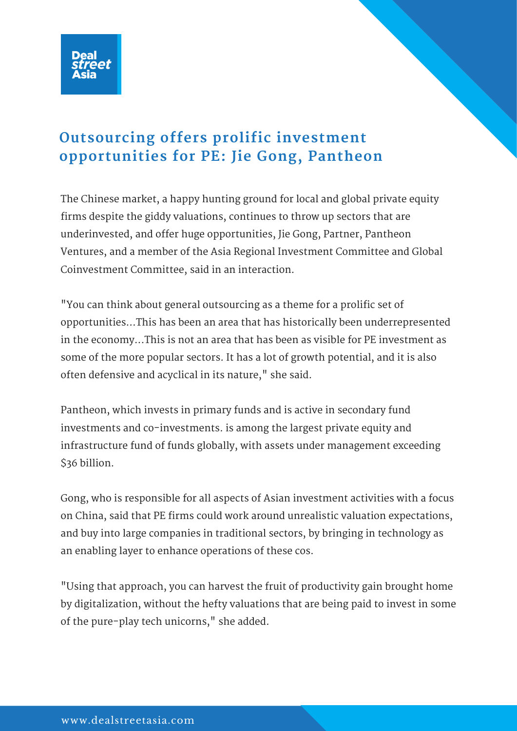

## **Outsourcing offers prolific investment opportunities for PE: Jie Gong, Pantheon**

The Chinese market, a happy hunting ground for local and global private equity firms despite the giddy valuations, continues to throw up sectors that are underinvested, and offer huge opportunities, Jie Gong, Partner, Pantheon Ventures, and a member of the Asia Regional Investment Committee and Global Coinvestment Committee, said in an interaction.

"You can think about general outsourcing as a theme for a prolific set of opportunities...This has been an area that has historically been underrepresented in the economy...This is not an area that has been as visible for PE investment as some of the more popular sectors. It has a lot of growth potential, and it is also often defensive and acyclical in its nature," she said.

Pantheon, which invests in primary funds and is active in secondary fund investments and co-investments. is among the largest private equity and infrastructure fund of funds globally, with assets under management exceeding \$36 billion.

Gong, who is responsible for all aspects of Asian investment activities with a focus on China, said that PE firms could work around unrealistic valuation expectations, and buy into large companies in traditional sectors, by bringing in technology as an enabling layer to enhance operations of these cos.

"Using that approach, you can harvest the fruit of productivity gain brought home by digitalization, without the hefty valuations that are being paid to invest in some of the pure-play tech unicorns," she added.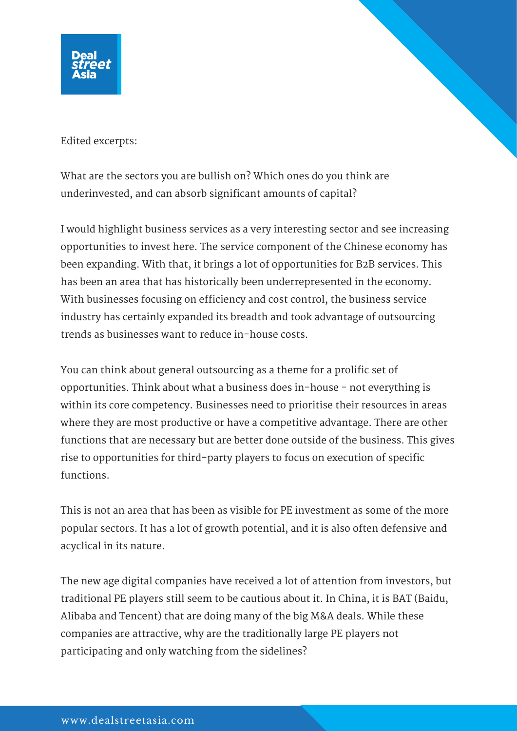

Edited excerpts:

What are the sectors you are bullish on? Which ones do you think are underinvested, and can absorb significant amounts of capital?

I would highlight business services as a very interesting sector and see increasing opportunities to invest here. The service component of the Chinese economy has been expanding. With that, it brings a lot of opportunities for B2B services. This has been an area that has historically been underrepresented in the economy. With businesses focusing on efficiency and cost control, the business service industry has certainly expanded its breadth and took advantage of outsourcing trends as businesses want to reduce in-house costs.

You can think about general outsourcing as a theme for a prolific set of opportunities. Think about what a business does in-house - not everything is within its core competency. Businesses need to prioritise their resources in areas where they are most productive or have a competitive advantage. There are other functions that are necessary but are better done outside of the business. This gives rise to opportunities for third-party players to focus on execution of specific functions.

This is not an area that has been as visible for PE investment as some of the more popular sectors. It has a lot of growth potential, and it is also often defensive and acyclical in its nature.

The new age digital companies have received a lot of attention from investors, but traditional PE players still seem to be cautious about it. In China, it is BAT (Baidu, Alibaba and Tencent) that are doing many of the big M&A deals. While these companies are attractive, why are the traditionally large PE players not participating and only watching from the sidelines?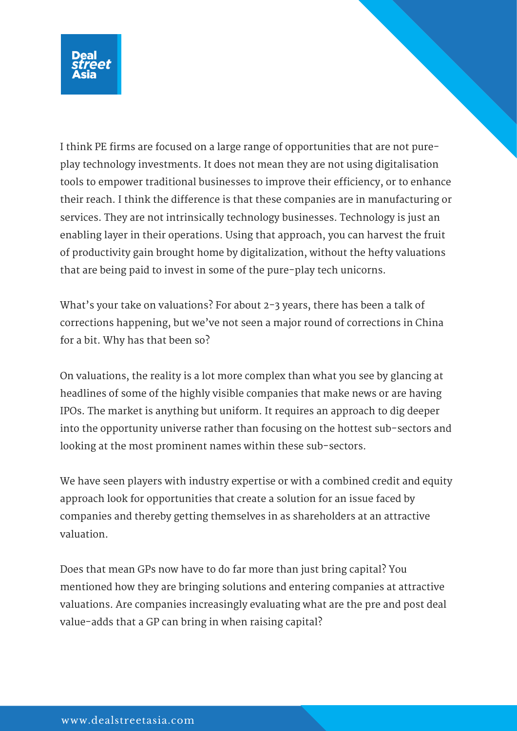

I think PE firms are focused on a large range of opportunities that are not pureplay technology investments. It does not mean they are not using digitalisation tools to empower traditional businesses to improve their efficiency, or to enhance their reach. I think the difference is that these companies are in manufacturing or services. They are not intrinsically technology businesses. Technology is just an enabling layer in their operations. Using that approach, you can harvest the fruit of productivity gain brought home by digitalization, without the hefty valuations that are being paid to invest in some of the pure-play tech unicorns.

What's your take on valuations? For about 2-3 years, there has been a talk of corrections happening, but we've not seen a major round of corrections in China for a bit. Why has that been so?

On valuations, the reality is a lot more complex than what you see by glancing at headlines of some of the highly visible companies that make news or are having IPOs. The market is anything but uniform. It requires an approach to dig deeper into the opportunity universe rather than focusing on the hottest sub-sectors and looking at the most prominent names within these sub-sectors.

We have seen players with industry expertise or with a combined credit and equity approach look for opportunities that create a solution for an issue faced by companies and thereby getting themselves in as shareholders at an attractive valuation.

Does that mean GPs now have to do far more than just bring capital? You mentioned how they are bringing solutions and entering companies at attractive valuations. Are companies increasingly evaluating what are the pre and post deal value-adds that a GP can bring in when raising capital?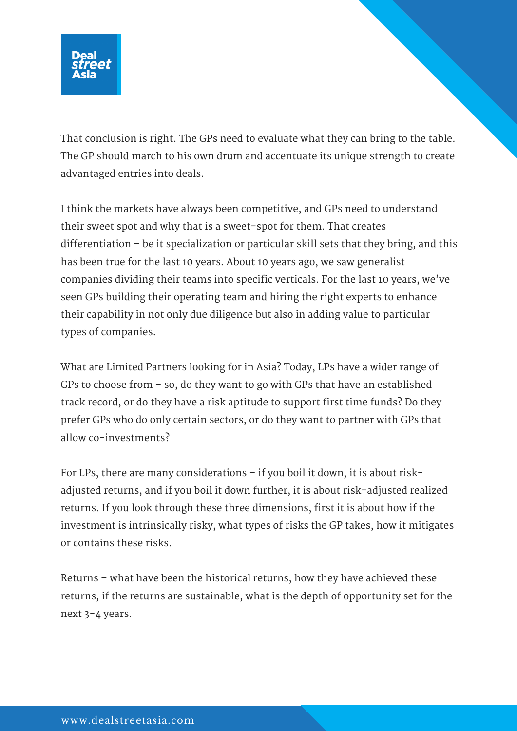

That conclusion is right. The GPs need to evaluate what they can bring to the table. The GP should march to his own drum and accentuate its unique strength to create advantaged entries into deals.

I think the markets have always been competitive, and GPs need to understand their sweet spot and why that is a sweet-spot for them. That creates differentiation – be it specialization or particular skill sets that they bring, and this has been true for the last 10 years. About 10 years ago, we saw generalist companies dividing their teams into specific verticals. For the last 10 years, we've seen GPs building their operating team and hiring the right experts to enhance their capability in not only due diligence but also in adding value to particular types of companies.

What are Limited Partners looking for in Asia? Today, LPs have a wider range of GPs to choose from – so, do they want to go with GPs that have an established track record, or do they have a risk aptitude to support first time funds? Do they prefer GPs who do only certain sectors, or do they want to partner with GPs that allow co-investments?

For LPs, there are many considerations – if you boil it down, it is about riskadjusted returns, and if you boil it down further, it is about risk-adjusted realized returns. If you look through these three dimensions, first it is about how if the investment is intrinsically risky, what types of risks the GP takes, how it mitigates or contains these risks.

Returns – what have been the historical returns, how they have achieved these returns, if the returns are sustainable, what is the depth of opportunity set for the next 3-4 years.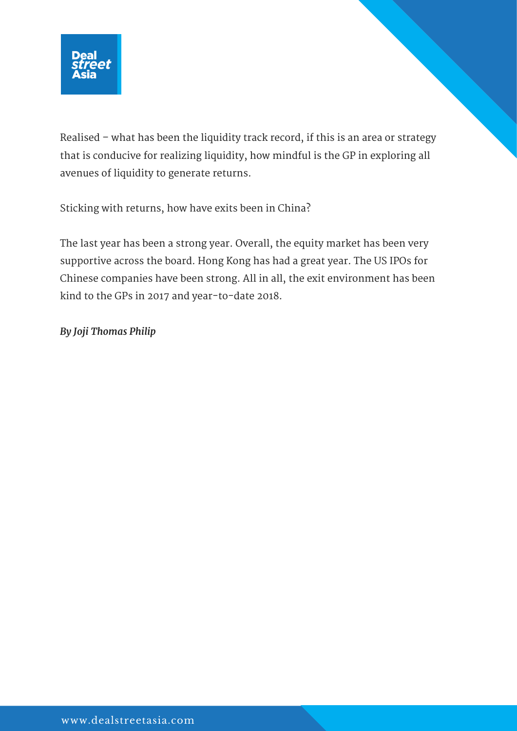

Realised – what has been the liquidity track record, if this is an area or strategy that is conducive for realizing liquidity, how mindful is the GP in exploring all avenues of liquidity to generate returns.

Sticking with returns, how have exits been in China?

The last year has been a strong year. Overall, the equity market has been very supportive across the board. Hong Kong has had a great year. The US IPOs for Chinese companies have been strong. All in all, the exit environment has been kind to the GPs in 2017 and year-to-date 2018.

*By Joji Thomas Philip*